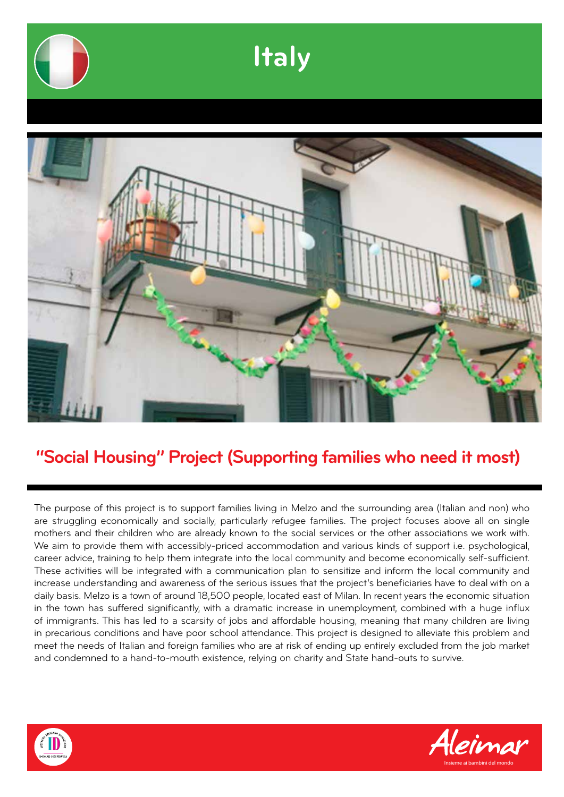

### **"Social Housing" Project (Supporting families who need it most)**

The purpose of this project is to support families living in Melzo and the surrounding area (Italian and non) who are struggling economically and socially, particularly refugee families. The project focuses above all on single mothers and their children who are already known to the social services or the other associations we work with. We aim to provide them with accessibly-priced accommodation and various kinds of support i.e. psychological, career advice, training to help them integrate into the local community and become economically self-sufficient. These activities will be integrated with a communication plan to sensitize and inform the local community and increase understanding and awareness of the serious issues that the project's beneficiaries have to deal with on a daily basis. Melzo is a town of around 18,500 people, located east of Milan. In recent years the economic situation in the town has suffered significantly, with a dramatic increase in unemployment, combined with a huge influx of immigrants. This has led to a scarsity of jobs and affordable housing, meaning that many children are living in precarious conditions and have poor school attendance. This project is designed to alleviate this problem and meet the needs of Italian and foreign families who are at risk of ending up entirely excluded from the job market and condemned to a hand-to-mouth existence, relying on charity and State hand-outs to survive.